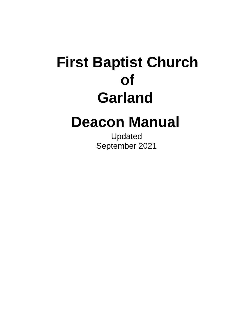# **First Baptist Church of Garland**

# **Deacon Manual**

Updated September 2021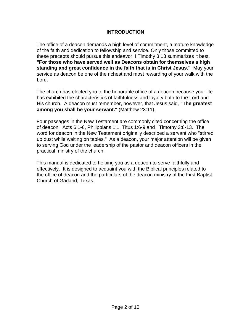## **INTRODUCTION**

The office of a deacon demands a high level of commitment, a mature knowledge of the faith and dedication to fellowship and service. Only those committed to these precepts should pursue this endeavor. I Timothy 3:13 summarizes it best, **"For those who have served well as Deacons obtain for themselves a high standing and great confidence in the faith that is in Christ Jesus."** May your service as deacon be one of the richest and most rewarding of your walk with the Lord.

The church has elected you to the honorable office of a deacon because your life has exhibited the characteristics of faithfulness and loyalty both to the Lord and His church. A deacon must remember, however, that Jesus said, **"The greatest among you shall be your servant."** (Matthew 23:11).

Four passages in the New Testament are commonly cited concerning the office of deacon: Acts 6:1-6, Philippians 1:1, Titus 1:6-9 and I Timothy 3:8-13. The word for deacon in the New Testament originally described a servant who "stirred up dust while waiting on tables." As a deacon, your major attention will be given to serving God under the leadership of the pastor and deacon officers in the practical ministry of the church.

This manual is dedicated to helping you as a deacon to serve faithfully and effectively. It is designed to acquaint you with the Biblical principles related to the office of deacon and the particulars of the deacon ministry of the First Baptist Church of Garland, Texas.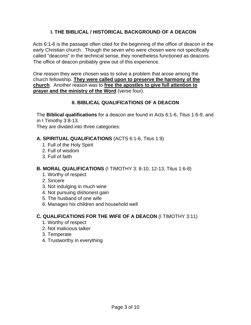# **I. THE BIBLICAL / HISTORICAL BACKGROUND OF A DEACON**

Acts 6:1-6 is the passage often cited for the beginning of the office of deacon in the early Christian church. Though the seven who were chosen were not specifically called "deacons" in the technical sense, they nonetheless functioned as deacons. The office of deacon probably grew out of this experience.

One reason they were chosen was to solve a problem that arose among the church fellowship. **They were called upon to preserve the harmony of the church**. Another reason was to **free the apostles to give full attention to prayer and the ministry of the Word** (verse four).

# **II. BIBLICAL QUALIFICATIONS OF A DEACON**

The **Biblical qualifications** for a deacon are found in Acts 6:1-6, Titus 1:6-9, and in I Timothy 3:8-13.

They are divided into three categories:

# **A. SPIRITUAL QUALIFICATIONS** (ACTS 6:1-6, Titus 1:9)

- 1. Full of the Holy Spirit
- 2. Full of wisdom
- 3. Full of faith

# **B. MORAL QUALIFICATIONS** (I TIMOTHY 3: 8-10, 12-13, Titus 1:6-8)

- 1. Worthy of respect
- 2. Sincere
- 3. Not indulging in much wine
- 4. Not pursuing dishonest gain
- 5. The husband of one wife
- 6. Manages his children and household well

# **C. QUALIFICATIONS FOR THE WIFE OF A DEACON** (I TIMOTHY 3:11)

- 1. Worthy of respect
- 2. Not malicious talker
- 3. Temperate
- 4. Trustworthy in everything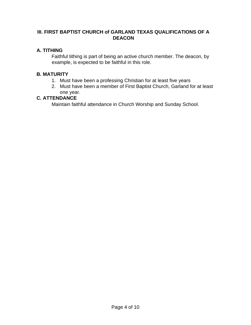# **III. FIRST BAPTIST CHURCH of GARLAND TEXAS QUALIFICATIONS OF A DEACON**

# **A. TITHING**

Faithful tithing is part of being an active church member. The deacon, by example, is expected to be faithful in this role.

# **B. MATURITY**

- 1. Must have been a professing Christian for at least five years
- 2. Must have been a member of First Baptist Church, Garland for at least one year.

# **C. ATTENDANCE**

Maintain faithful attendance in Church Worship and Sunday School.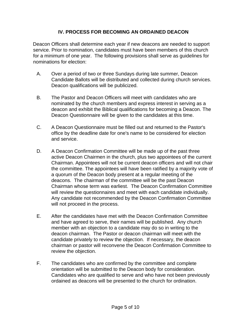# **IV. PROCESS FOR BECOMING AN ORDAINED DEACON**

Deacon Officers shall determine each year if new deacons are needed to support service. Prior to nomination, candidates must have been members of this church for a minimum of one year. The following provisions shall serve as guidelines for nominations for election:

- A. Over a period of two or three Sundays during late summer, Deacon Candidate Ballots will be distributed and collected during church services. Deacon qualifications will be publicized.
- B. The Pastor and Deacon Officers will meet with candidates who are nominated by the church members and express interest in serving as a deacon and exhibit the Biblical qualifications for becoming a Deacon. The Deacon Questionnaire will be given to the candidates at this time.
- C. A Deacon Questionnaire must be filled out and returned to the Pastor's office by the deadline date for one's name to be considered for election and service.
- D. A Deacon Confirmation Committee will be made up of the past three active Deacon Chairmen in the church, plus two appointees of the current Chairman. Appointees will not be current deacon officers and will not chair the committee. The appointees will have been ratified by a majority vote of a quorum of the Deacon body present at a regular meeting of the deacons. The chairman of the committee will be the past Deacon Chairman whose term was earliest. The Deacon Confirmation Committee will review the questionnaires and meet with each candidate individually. Any candidate not recommended by the Deacon Confirmation Committee will not proceed in the process.
- E. After the candidates have met with the Deacon Confirmation Committee and have agreed to serve, their names will be published. Any church member with an objection to a candidate may do so in writing to the deacon chairman. The Pastor or deacon chairman will meet with the candidate privately to review the objection. If necessary, the deacon chairman or pastor will reconvene the Deacon Confirmation Committee to review the objection.
- F. The candidates who are confirmed by the committee and complete orientation will be submitted to the Deacon body for consideration. Candidates who are qualified to serve and who have not been previously ordained as deacons will be presented to the church for ordination.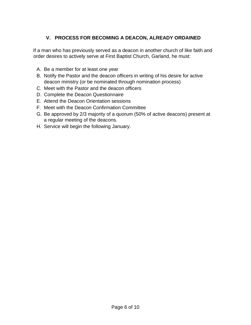# **V. PROCESS FOR BECOMING A DEACON, ALREADY ORDAINED**

If a man who has previously served as a deacon in another church of like faith and order desires to actively serve at First Baptist Church, Garland, he must:

- A. Be a member for at least one year
- B. Notify the Pastor and the deacon officers in writing of his desire for active deacon ministry (or be nominated through nomination process)
- C. Meet with the Pastor and the deacon officers
- D. Complete the Deacon Questionnaire
- E. Attend the Deacon Orientation sessions
- F. Meet with the Deacon Confirmation Committee
- G. Be approved by 2/3 majority of a quorum (50% of active deacons) present at a regular meeting of the deacons.
- H. Service will begin the following January.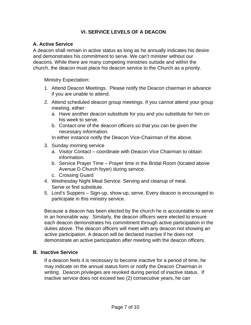# **VI. SERVICE LEVELS OF A DEACON**

#### **A. Active Service**

A deacon shall remain in active status as long as he annually indicates his desire and demonstrates his commitment to serve. We can't minister without our deacons. While there are many competing ministries outside and within the church, the deacon must place his deacon service to the Church as a priority.

Ministry Expectation:

- 1. Attend Deacon Meetings. Please notify the Deacon chairman in advance if you are unable to attend.
- 2. Attend scheduled deacon group meetings. If you cannot attend your group meeting, either:
	- a. Have another deacon substitute for you and you substitute for him on his week to serve.
	- b. Contact one of the deacon officers so that you can be given the necessary information.

In either instance notify the Deacon Vice-Chairman of the above.

- 3. Sunday morning service
	- a. Visitor Contact coordinate with Deacon Vice Chairman to obtain information.
	- b. Service Prayer Time Prayer time in the Bridal Room (located above Avenue D Church foyer) during service.
	- c. Crossing Guard
- 4. Wednesday Night Meal Service. Serving and cleanup of meal. Serve or find substitute.
- 5. Lord's Suppers Sign-up, show-up, serve. Every deacon is encouraged to participate in this ministry service.

Because a deacon has been elected by the church he is accountable to serve in an honorable way. Similarly, the deacon officers were elected to ensure each deacon demonstrates his commitment through active participation in the duties above. The deacon officers will meet with any deacon not showing an active participation. A deacon will be declared inactive if he does not demonstrate an active participation after meeting with the deacon officers.

#### **B. Inactive Service**

If a deacon feels it is necessary to become inactive for a period of time, he may indicate on the annual status form or notify the Deacon Chairman in writing. Deacon privileges are revoked during period of inactive status. If inactive service does not exceed two (2) consecutive years, he can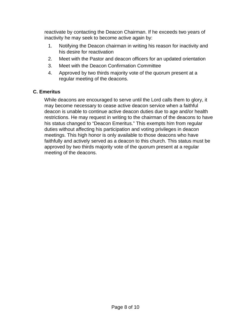reactivate by contacting the Deacon Chairman. If he exceeds two years of inactivity he may seek to become active again by:

- 1. Notifying the Deacon chairman in writing his reason for inactivity and his desire for reactivation
- 2. Meet with the Pastor and deacon officers for an updated orientation
- 3. Meet with the Deacon Confirmation Committee
- 4. Approved by two thirds majority vote of the quorum present at a regular meeting of the deacons.

# **C. Emeritus**

While deacons are encouraged to serve until the Lord calls them to glory, it may become necessary to cease active deacon service when a faithful deacon is unable to continue active deacon duties due to age and/or health restrictions. He may request in writing to the chairman of the deacons to have his status changed to "Deacon Emeritus." This exempts him from regular duties without affecting his participation and voting privileges in deacon meetings. This high honor is only available to those deacons who have faithfully and actively served as a deacon to this church. This status must be approved by two thirds majority vote of the quorum present at a regular meeting of the deacons.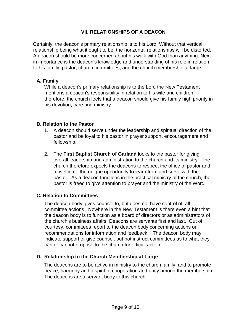# **VII. RELATIONSHIPS OF A DEACON**

Certainly, the deacon's primary relationship is to his Lord. Without that vertical relationship being what it ought to be, the horizontal relationships will be distorted. A deacon should be more concerned about his walk with God than anything. Next in importance is the deacon's knowledge and understanding of his role in relation to his family, pastor, church committees, and the church membership at large.

# **A. Family**

While a deacon's primary relationship is to the Lord the New Testament mentions a deacon's responsibility in relation to his wife and children; therefore, the church feels that a deacon should give his family high priority in his devotion, care and ministry.

# **B. Relation to the Pastor**

- 1. A deacon should serve under the leadership and spiritual direction of the pastor and be loyal to his pastor in prayer support, encouragement and fellowship.
- 2. The **First Baptist Church of Garland** looks to the pastor for giving overall leadership and administration to the church and its ministry. The church therefore expects the deacons to respect the office of pastor and to welcome the unique opportunity to learn from and serve with the pastor. As a deacon functions in the practical ministry of the church, the pastor is freed to give attention to prayer and the ministry of the Word.

# **C. Relation to Committees**

The deacon body gives counsel to, but does not have control of, all committee actions. Nowhere in the New Testament is there even a hint that the deacon body is to function as a board of directors or as administrators of the church's business affairs. Deacons are servants first and last. Out of courtesy, committees report to the deacon body concerning actions or recommendations for information and feedback. The deacon body may indicate support or give counsel, but not instruct committees as to what they can or cannot propose to the church for official action.

# **D. Relationship to the Church Membership at Large**

The deacons are to be active in ministry to the church family, and to promote peace, harmony and a spirit of cooperation and unity among the membership. The deacons are a servant body to this church.